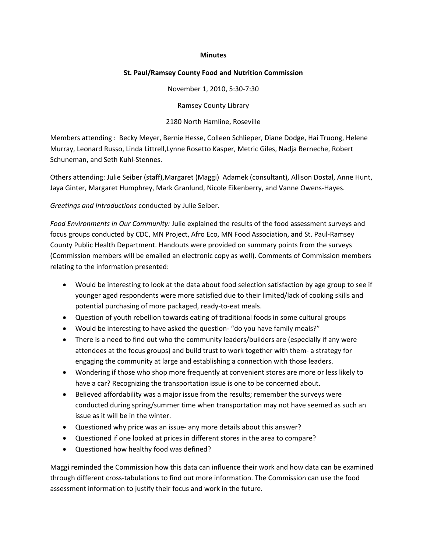## **Minutes**

## **St. Paul/Ramsey County Food and Nutrition Commission**

November 1, 2010, 5:30‐7:30

Ramsey County Library

2180 North Hamline, Roseville

Members attending : Becky Meyer, Bernie Hesse, Colleen Schlieper, Diane Dodge, Hai Truong, Helene Murray, Leonard Russo, Linda Littrell,Lynne Rosetto Kasper, Metric Giles, Nadja Berneche, Robert Schuneman, and Seth Kuhl‐Stennes.

Others attending: Julie Seiber (staff),Margaret (Maggi) Adamek (consultant), Allison Dostal, Anne Hunt, Jaya Ginter, Margaret Humphrey, Mark Granlund, Nicole Eikenberry, and Vanne Owens‐Hayes.

*Greetings and Introductions* conducted by Julie Seiber.

*Food Environments in Our Community:* Julie explained the results of the food assessment surveys and focus groups conducted by CDC, MN Project, Afro Eco, MN Food Association, and St. Paul‐Ramsey County Public Health Department. Handouts were provided on summary points from the surveys (Commission members will be emailed an electronic copy as well). Comments of Commission members relating to the information presented:

- Would be interesting to look at the data about food selection satisfaction by age group to see if younger aged respondents were more satisfied due to their limited/lack of cooking skills and potential purchasing of more packaged, ready‐to‐eat meals.
- Question of youth rebellion towards eating of traditional foods in some cultural groups
- Would be interesting to have asked the question‐ "do you have family meals?"
- There is a need to find out who the community leaders/builders are (especially if any were attendees at the focus groups) and build trust to work together with them‐ a strategy for engaging the community at large and establishing a connection with those leaders.
- Wondering if those who shop more frequently at convenient stores are more or less likely to have a car? Recognizing the transportation issue is one to be concerned about.
- Believed affordability was a major issue from the results; remember the surveys were conducted during spring/summer time when transportation may not have seemed as such an issue as it will be in the winter.
- Questioned why price was an issue- any more details about this answer?
- Questioned if one looked at prices in different stores in the area to compare?
- Questioned how healthy food was defined?

Maggi reminded the Commission how this data can influence their work and how data can be examined through different cross‐tabulations to find out more information. The Commission can use the food assessment information to justify their focus and work in the future.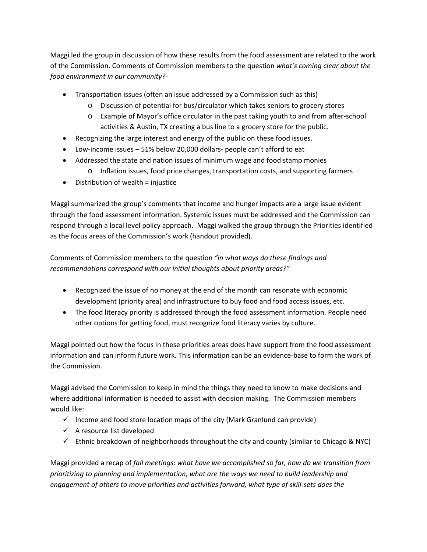Maggi led the group in discussion of how these results from the food assessment are related to the work of the Commission. Comments of Commission members to the question *what's coming clear about the food environment in our community?‐* 

- Transportation issues (often an issue addressed by a Commission such as this)
	- o Discussion of potential for bus/circulator which takes seniors to grocery stores
	- o Example of Mayor's office circulator in the past taking youth to and from after‐school activities & Austin, TX creating a bus line to a grocery store for the public.
- Recognizing the large interest and energy of the public on these food issues.
- Low‐income issues 51% below 20,000 dollars‐ people can't afford to eat
- Addressed the state and nation issues of minimum wage and food stamp monies o Inflation issues, food price changes, transportation costs, and supporting farmers
- $\bullet$  Distribution of wealth = injustice

Maggi summarized the group's comments that income and hunger impacts are a large issue evident through the food assessment information. Systemic issues must be addressed and the Commission can respond through a local level policy approach. Maggi walked the group through the Priorities identified as the focus areas of the Commission's work (handout provided).

Comments of Commission members to the question *"in what ways do these findings and recommendations correspond with our initial thoughts about priority areas?"*

- Recognized the issue of no money at the end of the month can resonate with economic development (priority area) and infrastructure to buy food and food access issues, etc.
- The food literacy priority is addressed through the food assessment information. People need other options for getting food, must recognize food literacy varies by culture.

Maggi pointed out how the focus in these priorities areas does have support from the food assessment information and can inform future work. This information can be an evidence‐base to form the work of the Commission.

Maggi advised the Commission to keep in mind the things they need to know to make decisions and where additional information is needed to assist with decision making. The Commission members would like:

- $\checkmark$  Income and food store location maps of the city (Mark Granlund can provide)
- $\checkmark$  A resource list developed
- $\checkmark$  Ethnic breakdown of neighborhoods throughout the city and county (similar to Chicago & NYC)

Maggi provided a recap of *fall meetings*: *what have we accomplished so far, how do we transition from prioritizing to planning and implementation, what are the ways we need to build leadership and engagement of others to move priorities and activities forward, what type of skill‐sets does the*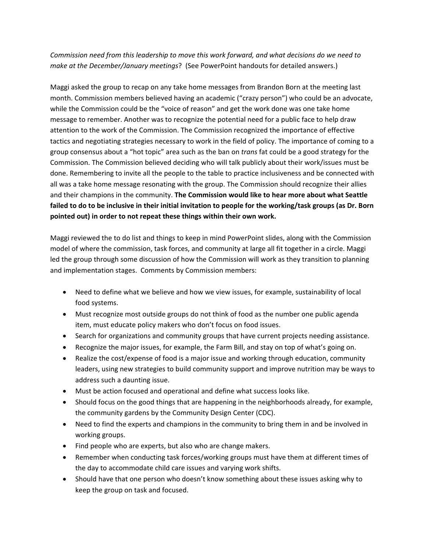*Commission need from this leadership to move this work forward, and what decisions do we need to make at the December/January meetings*? (See PowerPoint handouts for detailed answers.)

Maggi asked the group to recap on any take home messages from Brandon Born at the meeting last month. Commission members believed having an academic ("crazy person") who could be an advocate, while the Commission could be the "voice of reason" and get the work done was one take home message to remember. Another was to recognize the potential need for a public face to help draw attention to the work of the Commission. The Commission recognized the importance of effective tactics and negotiating strategies necessary to work in the field of policy. The importance of coming to a group consensus about a "hot topic" area such as the ban on *trans* fat could be a good strategy for the Commission. The Commission believed deciding who will talk publicly about their work/issues must be done. Remembering to invite all the people to the table to practice inclusiveness and be connected with all was a take home message resonating with the group. The Commission should recognize their allies and their champions in the community. **The Commission would like to hear more about what Seattle** failed to do to be inclusive in their initial invitation to people for the working/task groups (as Dr. Born **pointed out) in order to not repeat these things within their own work.**

Maggi reviewed the to do list and things to keep in mind PowerPoint slides, along with the Commission model of where the commission, task forces, and community at large all fit together in a circle. Maggi led the group through some discussion of how the Commission will work as they transition to planning and implementation stages. Comments by Commission members:

- Need to define what we believe and how we view issues, for example, sustainability of local food systems.
- Must recognize most outside groups do not think of food as the number one public agenda item, must educate policy makers who don't focus on food issues.
- Search for organizations and community groups that have current projects needing assistance.
- Recognize the major issues, for example, the Farm Bill, and stay on top of what's going on.
- Realize the cost/expense of food is a major issue and working through education, community leaders, using new strategies to build community support and improve nutrition may be ways to address such a daunting issue.
- Must be action focused and operational and define what success looks like.
- Should focus on the good things that are happening in the neighborhoods already, for example, the community gardens by the Community Design Center (CDC).
- Need to find the experts and champions in the community to bring them in and be involved in working groups.
- Find people who are experts, but also who are change makers.
- Remember when conducting task forces/working groups must have them at different times of the day to accommodate child care issues and varying work shifts.
- Should have that one person who doesn't know something about these issues asking why to keep the group on task and focused.